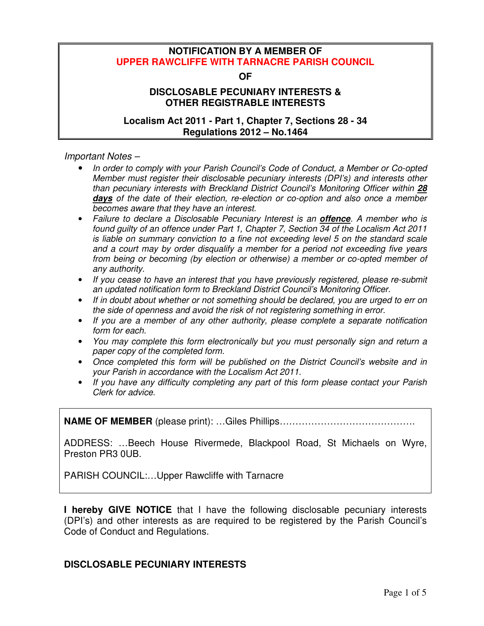## **NOTIFICATION BY A MEMBER OF UPPER RAWCLIFFE WITH TARNACRE PARISH COUNCIL**

#### **OF**

# **DISCLOSABLE PECUNIARY INTERESTS & OTHER REGISTRABLE INTERESTS**

### **Localism Act 2011 - Part 1, Chapter 7, Sections 28 - 34 Regulations 2012 – No.1464**

*Important Notes –* 

- *In order to comply with your Parish Council's Code of Conduct, a Member or Co-opted Member must register their disclosable pecuniary interests (DPI's) and interests other than pecuniary interests with Breckland District Council's Monitoring Officer within 28* **days** *of the date of their election, re-election or co-option and also once a member becomes aware that they have an interest.*
- *Failure to declare a Disclosable Pecuniary Interest is an* **offence***. A member who is found guilty of an offence under Part 1, Chapter 7, Section 34 of the Localism Act 2011 is liable on summary conviction to a fine not exceeding level 5 on the standard scale and a court may by order disqualify a member for a period not exceeding five years from being or becoming (by election or otherwise) a member or co-opted member of any authority.*
- *If you cease to have an interest that you have previously registered, please re-submit an updated notification form to Breckland District Council's Monitoring Officer.*
- *If in doubt about whether or not something should be declared, you are urged to err on the side of openness and avoid the risk of not registering something in error.*
- *If you are a member of any other authority, please complete a separate notification form for each.*
- *You may complete this form electronically but you must personally sign and return a paper copy of the completed form.*
- *Once completed this form will be published on the District Council's website and in your Parish in accordance with the Localism Act 2011.*
- *If you have any difficulty completing any part of this form please contact your Parish Clerk for advice.*

**NAME OF MEMBER** (please print): …Giles Phillips…………………………………….

ADDRESS: …Beech House Rivermede, Blackpool Road, St Michaels on Wyre, Preston PR3 0UB.

PARISH COUNCIL:…Upper Rawcliffe with Tarnacre

**I hereby GIVE NOTICE** that I have the following disclosable pecuniary interests (DPI's) and other interests as are required to be registered by the Parish Council's Code of Conduct and Regulations.

## **DISCLOSABLE PECUNIARY INTERESTS**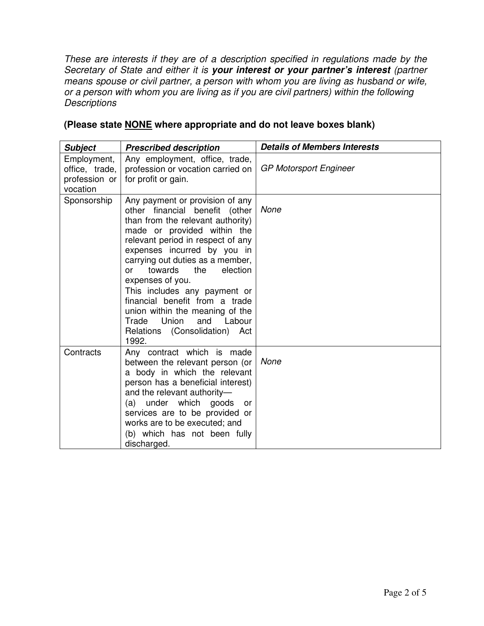*These are interests if they are of a description specified in regulations made by the Secretary of State and either it is* **your interest or your partner's interest** *(partner*  means spouse or civil partner, a person with whom you are living as husband or wife, *or a person with whom you are living as if you are civil partners) within the following Descriptions* 

| <b>Subject</b>                                             | <b>Prescribed description</b>                                                                                                                                                                                                                                                                                                                                                                                                                                                                   | <b>Details of Members Interests</b> |
|------------------------------------------------------------|-------------------------------------------------------------------------------------------------------------------------------------------------------------------------------------------------------------------------------------------------------------------------------------------------------------------------------------------------------------------------------------------------------------------------------------------------------------------------------------------------|-------------------------------------|
| Employment,<br>office, trade,<br>profession or<br>vocation | Any employment, office, trade,<br>profession or vocation carried on<br>for profit or gain.                                                                                                                                                                                                                                                                                                                                                                                                      | <b>GP Motorsport Engineer</b>       |
| Sponsorship                                                | Any payment or provision of any<br>other financial benefit (other<br>than from the relevant authority)<br>made or provided within the<br>relevant period in respect of any<br>expenses incurred by you in<br>carrying out duties as a member,<br>towards<br>the<br>election<br>$\alpha$ r<br>expenses of you.<br>This includes any payment or<br>financial benefit from a trade<br>union within the meaning of the<br>Union<br>and<br>Trade<br>Labour<br>Relations (Consolidation) Act<br>1992. | None                                |
| Contracts                                                  | Any contract which is made<br>between the relevant person (or<br>a body in which the relevant<br>person has a beneficial interest)<br>and the relevant authority-<br>(a) under which<br>goods<br>or<br>services are to be provided or<br>works are to be executed; and<br>(b) which has not been fully<br>discharged.                                                                                                                                                                           | None                                |

## **(Please state NONE where appropriate and do not leave boxes blank)**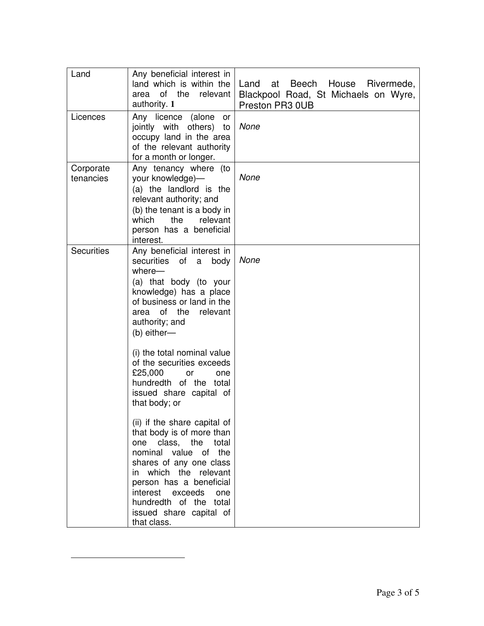| Land                   | Any beneficial interest in<br>land which is within the<br>of the<br>relevant<br>area<br>authority. 1                                                                                                                                                                                    | at Beech House Rivermede,<br>Land<br>Blackpool Road, St Michaels on Wyre,<br>Preston PR3 0UB |
|------------------------|-----------------------------------------------------------------------------------------------------------------------------------------------------------------------------------------------------------------------------------------------------------------------------------------|----------------------------------------------------------------------------------------------|
| Licences               | Any licence (alone<br>or<br>jointly with others)<br>to<br>occupy land in the area<br>of the relevant authority<br>for a month or longer.                                                                                                                                                | None                                                                                         |
| Corporate<br>tenancies | Any tenancy where (to<br>your knowledge)-<br>(a) the landlord is the<br>relevant authority; and<br>(b) the tenant is a body in<br>which<br>the<br>relevant<br>person has a beneficial<br>interest.                                                                                      | None                                                                                         |
| <b>Securities</b>      | Any beneficial interest in<br>securities of<br>a<br>body<br>where-<br>(a) that body (to your<br>knowledge) has a place<br>of business or land in the<br>of the<br>relevant<br>area<br>authority; and<br>(b) either-                                                                     | None                                                                                         |
|                        | (i) the total nominal value<br>of the securities exceeds<br>£25,000<br>or<br>one<br>hundredth of the total<br>issued share capital of<br>that body; or                                                                                                                                  |                                                                                              |
|                        | (ii) if the share capital of<br>that body is of more than<br>one class, the total<br>nominal value of the<br>shares of any one class<br>in which the relevant<br>person has a beneficial<br>interest exceeds<br>one<br>hundredth of the total<br>issued share capital of<br>that class. |                                                                                              |